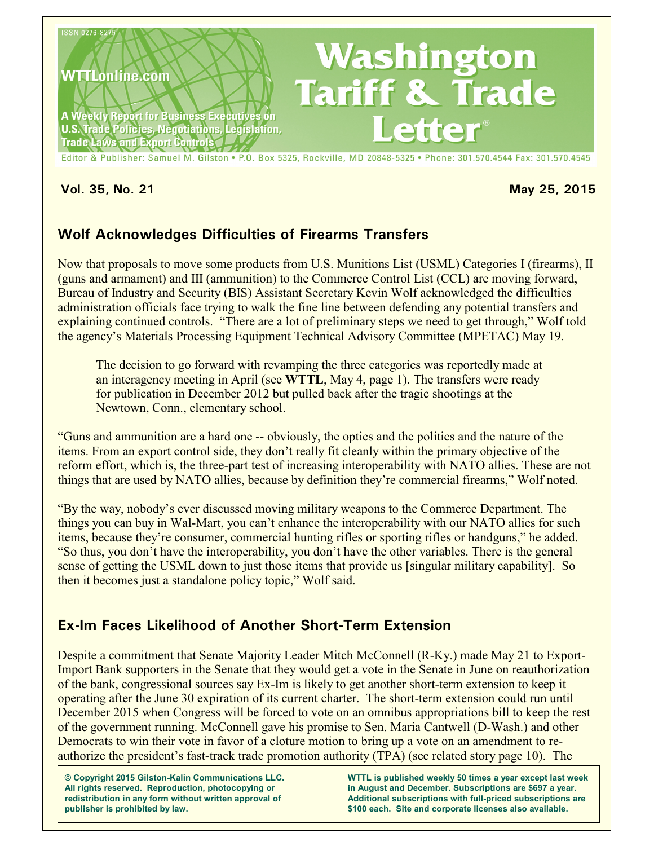

**Vol. 35, No. 21 May 25, 2015**

# **Wolf Acknowledges Difficulties of Firearms Transfers**

Now that proposals to move some products from U.S. Munitions List (USML) Categories I (firearms), II (guns and armament) and III (ammunition) to the Commerce Control List (CCL) are moving forward, Bureau of Industry and Security (BIS) Assistant Secretary Kevin Wolf acknowledged the difficulties administration officials face trying to walk the fine line between defending any potential transfers and explaining continued controls. "There are a lot of preliminary steps we need to get through," Wolf told the agency's Materials Processing Equipment Technical Advisory Committee (MPETAC) May 19.

The decision to go forward with revamping the three categories was reportedly made at an interagency meeting in April (see **WTTL**, May 4, page 1). The transfers were ready for publication in December 2012 but pulled back after the tragic shootings at the Newtown, Conn., elementary school.

"Guns and ammunition are a hard one -- obviously, the optics and the politics and the nature of the items. From an export control side, they don't really fit cleanly within the primary objective of the reform effort, which is, the three-part test of increasing interoperability with NATO allies. These are not things that are used by NATO allies, because by definition they're commercial firearms," Wolf noted.

"By the way, nobody's ever discussed moving military weapons to the Commerce Department. The things you can buy in Wal-Mart, you can't enhance the interoperability with our NATO allies for such items, because they're consumer, commercial hunting rifles or sporting rifles or handguns," he added. "So thus, you don't have the interoperability, you don't have the other variables. There is the general sense of getting the USML down to just those items that provide us [singular military capability]. So then it becomes just a standalone policy topic," Wolf said.

## **Ex-Im Faces Likelihood of Another Short-Term Extension**

Despite a commitment that Senate Majority Leader Mitch McConnell (R-Ky.) made May 21 to Export-Import Bank supporters in the Senate that they would get a vote in the Senate in June on reauthorization of the bank, congressional sources say Ex-Im is likely to get another short-term extension to keep it operating after the June 30 expiration of its current charter. The short-term extension could run until December 2015 when Congress will be forced to vote on an omnibus appropriations bill to keep the rest of the government running. McConnell gave his promise to Sen. Maria Cantwell (D-Wash.) and other Democrats to win their vote in favor of a cloture motion to bring up a vote on an amendment to reauthorize the president's fast-track trade promotion authority (TPA) (see related story page 10). The

**© Copyright 2015 Gilston-Kalin Communications LLC. All rights reserved. Reproduction, photocopying or redistribution in any form without written approval of publisher is prohibited by law.** 

**WTTL is published weekly 50 times a year except last week in August and December. Subscriptions are \$697 a year. Additional subscriptions with full-priced subscriptions are \$100 each. Site and corporate licenses also available.**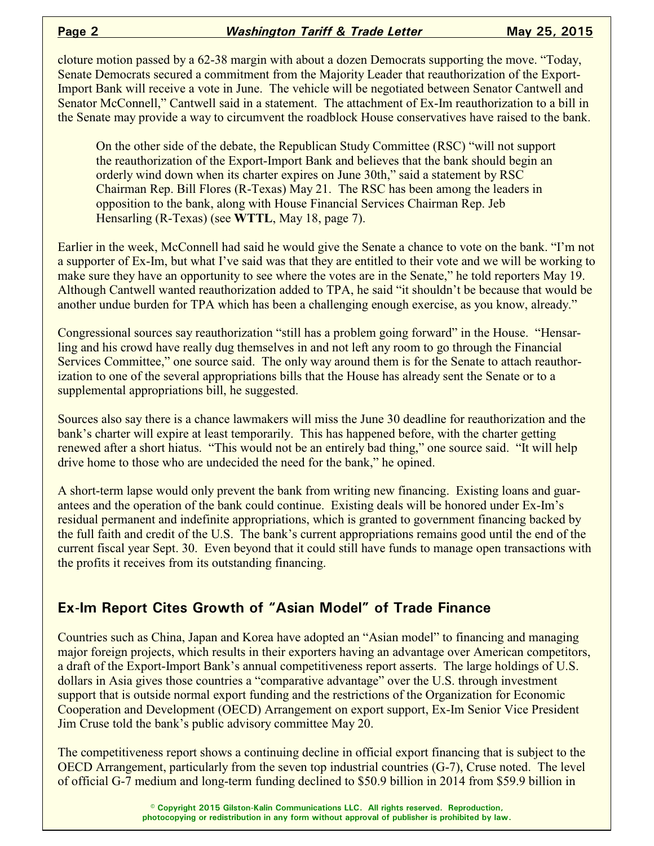cloture motion passed by a 62-38 margin with about a dozen Democrats supporting the move. "Today, Senate Democrats secured a commitment from the Majority Leader that reauthorization of the Export-Import Bank will receive a vote in June. The vehicle will be negotiated between Senator Cantwell and Senator McConnell," Cantwell said in a statement. The attachment of Ex-Im reauthorization to a bill in the Senate may provide a way to circumvent the roadblock House conservatives have raised to the bank.

On the other side of the debate, the Republican Study Committee (RSC) "will not support the reauthorization of the Export-Import Bank and believes that the bank should begin an orderly wind down when its charter expires on June 30th," said a statement by RSC Chairman Rep. Bill Flores (R-Texas) May 21. The RSC has been among the leaders in opposition to the bank, along with House Financial Services Chairman Rep. Jeb Hensarling (R-Texas) (see **WTTL**, May 18, page 7).

Earlier in the week, McConnell had said he would give the Senate a chance to vote on the bank. "I'm not a supporter of Ex-Im, but what I've said was that they are entitled to their vote and we will be working to make sure they have an opportunity to see where the votes are in the Senate," he told reporters May 19. Although Cantwell wanted reauthorization added to TPA, he said "it shouldn't be because that would be another undue burden for TPA which has been a challenging enough exercise, as you know, already."

Congressional sources say reauthorization "still has a problem going forward" in the House. "Hensarling and his crowd have really dug themselves in and not left any room to go through the Financial Services Committee," one source said. The only way around them is for the Senate to attach reauthorization to one of the several appropriations bills that the House has already sent the Senate or to a supplemental appropriations bill, he suggested.

Sources also say there is a chance lawmakers will miss the June 30 deadline for reauthorization and the bank's charter will expire at least temporarily. This has happened before, with the charter getting renewed after a short hiatus. "This would not be an entirely bad thing," one source said. "It will help drive home to those who are undecided the need for the bank," he opined.

A short-term lapse would only prevent the bank from writing new financing. Existing loans and guarantees and the operation of the bank could continue. Existing deals will be honored under Ex-Im's residual permanent and indefinite appropriations, which is granted to government financing backed by the full faith and credit of the U.S. The bank's current appropriations remains good until the end of the current fiscal year Sept. 30. Even beyond that it could still have funds to manage open transactions with the profits it receives from its outstanding financing.

## **Ex-Im Report Cites Growth of "Asian Model" of Trade Finance**

Countries such as China, Japan and Korea have adopted an "Asian model" to financing and managing major foreign projects, which results in their exporters having an advantage over American competitors, a draft of the Export-Import Bank's annual competitiveness report asserts. The large holdings of U.S. dollars in Asia gives those countries a "comparative advantage" over the U.S. through investment support that is outside normal export funding and the restrictions of the Organization for Economic Cooperation and Development (OECD) Arrangement on export support, Ex-Im Senior Vice President Jim Cruse told the bank's public advisory committee May 20.

The competitiveness report shows a continuing decline in official export financing that is subject to the OECD Arrangement, particularly from the seven top industrial countries (G-7), Cruse noted. The level of official G-7 medium and long-term funding declined to \$50.9 billion in 2014 from \$59.9 billion in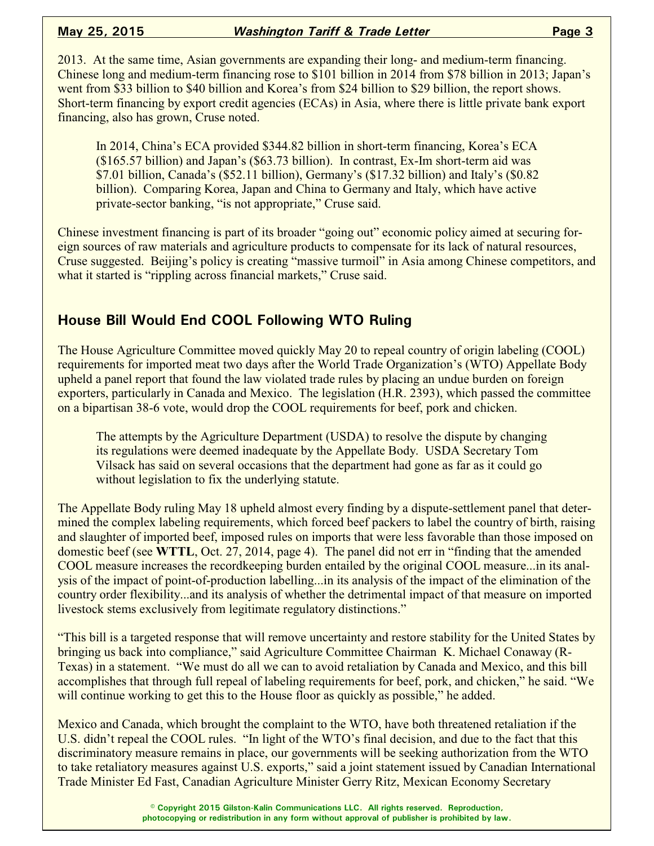2013. At the same time, Asian governments are expanding their long- and medium-term financing. Chinese long and medium-term financing rose to \$101 billion in 2014 from \$78 billion in 2013; Japan's went from \$33 billion to \$40 billion and Korea's from \$24 billion to \$29 billion, the report shows. Short-term financing by export credit agencies (ECAs) in Asia, where there is little private bank export financing, also has grown, Cruse noted.

In 2014, China's ECA provided \$344.82 billion in short-term financing, Korea's ECA (\$165.57 billion) and Japan's (\$63.73 billion). In contrast, Ex-Im short-term aid was \$7.01 billion, Canada's (\$52.11 billion), Germany's (\$17.32 billion) and Italy's (\$0.82 billion). Comparing Korea, Japan and China to Germany and Italy, which have active private-sector banking, "is not appropriate," Cruse said.

Chinese investment financing is part of its broader "going out" economic policy aimed at securing foreign sources of raw materials and agriculture products to compensate for its lack of natural resources, Cruse suggested. Beijing's policy is creating "massive turmoil" in Asia among Chinese competitors, and what it started is "rippling across financial markets," Cruse said.

## **House Bill Would End COOL Following WTO Ruling**

The House Agriculture Committee moved quickly May 20 to repeal country of origin labeling (COOL) requirements for imported meat two days after the World Trade Organization's (WTO) Appellate Body upheld a panel report that found the law violated trade rules by placing an undue burden on foreign exporters, particularly in Canada and Mexico. The legislation (H.R. 2393), which passed the committee on a bipartisan 38-6 vote, would drop the COOL requirements for beef, pork and chicken.

The attempts by the Agriculture Department (USDA) to resolve the dispute by changing its regulations were deemed inadequate by the Appellate Body. USDA Secretary Tom Vilsack has said on several occasions that the department had gone as far as it could go without legislation to fix the underlying statute.

The Appellate Body ruling May 18 upheld almost every finding by a dispute-settlement panel that determined the complex labeling requirements, which forced beef packers to label the country of birth, raising and slaughter of imported beef, imposed rules on imports that were less favorable than those imposed on domestic beef (see **WTTL**, Oct. 27, 2014, page 4). The panel did not err in "finding that the amended COOL measure increases the recordkeeping burden entailed by the original COOL measure...in its analysis of the impact of point-of-production labelling...in its analysis of the impact of the elimination of the country order flexibility...and its analysis of whether the detrimental impact of that measure on imported livestock stems exclusively from legitimate regulatory distinctions."

"This bill is a targeted response that will remove uncertainty and restore stability for the United States by bringing us back into compliance," said Agriculture Committee Chairman K. Michael Conaway (R-Texas) in a statement. "We must do all we can to avoid retaliation by Canada and Mexico, and this bill accomplishes that through full repeal of labeling requirements for beef, pork, and chicken," he said. "We will continue working to get this to the House floor as quickly as possible," he added.

Mexico and Canada, which brought the complaint to the WTO, have both threatened retaliation if the U.S. didn't repeal the COOL rules. "In light of the WTO's final decision, and due to the fact that this discriminatory measure remains in place, our governments will be seeking authorization from the WTO to take retaliatory measures against U.S. exports," said a joint statement issued by Canadian International Trade Minister Ed Fast, Canadian Agriculture Minister Gerry Ritz, Mexican Economy Secretary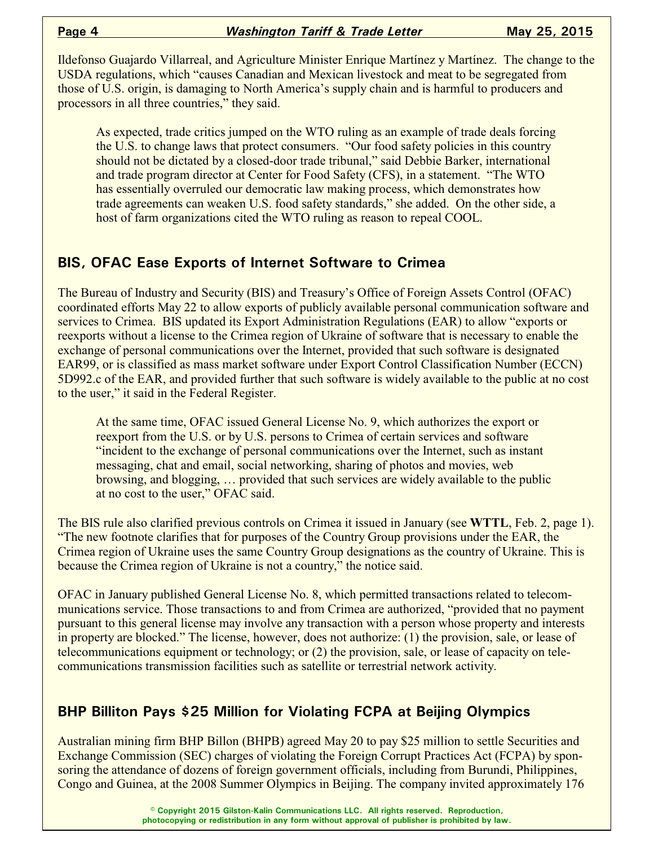Ildefonso Guajardo Villarreal, and Agriculture Minister Enrique Martínez y Martínez. The change to the USDA regulations, which "causes Canadian and Mexican livestock and meat to be segregated from those of U.S. origin, is damaging to North America's supply chain and is harmful to producers and processors in all three countries," they said.

As expected, trade critics jumped on the WTO ruling as an example of trade deals forcing the U.S. to change laws that protect consumers. "Our food safety policies in this country should not be dictated by a closed-door trade tribunal," said Debbie Barker, international and trade program director at Center for Food Safety (CFS), in a statement. "The WTO has essentially overruled our democratic law making process, which demonstrates how trade agreements can weaken U.S. food safety standards," she added. On the other side, a host of farm organizations cited the WTO ruling as reason to repeal COOL.

## **BIS, OFAC Ease Exports of Internet Software to Crimea**

The Bureau of Industry and Security (BIS) and Treasury's Office of Foreign Assets Control (OFAC) coordinated efforts May 22 to allow exports of publicly available personal communication software and services to Crimea. BIS updated its Export Administration Regulations (EAR) to allow "exports or reexports without a license to the Crimea region of Ukraine of software that is necessary to enable the exchange of personal communications over the Internet, provided that such software is designated EAR99, or is classified as mass market software under Export Control Classification Number (ECCN) 5D992.c of the EAR, and provided further that such software is widely available to the public at no cost to the user," it said in the Federal Register.

At the same time, OFAC issued General License No. 9, which authorizes the export or reexport from the U.S. or by U.S. persons to Crimea of certain services and software "incident to the exchange of personal communications over the Internet, such as instant messaging, chat and email, social networking, sharing of photos and movies, web browsing, and blogging, … provided that such services are widely available to the public at no cost to the user," OFAC said.

The BIS rule also clarified previous controls on Crimea it issued in January (see **WTTL**, Feb. 2, page 1). "The new footnote clarifies that for purposes of the Country Group provisions under the EAR, the Crimea region of Ukraine uses the same Country Group designations as the country of Ukraine. This is because the Crimea region of Ukraine is not a country," the notice said.

OFAC in January published General License No. 8, which permitted transactions related to telecommunications service. Those transactions to and from Crimea are authorized, "provided that no payment pursuant to this general license may involve any transaction with a person whose property and interests in property are blocked." The license, however, does not authorize: (1) the provision, sale, or lease of telecommunications equipment or technology; or (2) the provision, sale, or lease of capacity on telecommunications transmission facilities such as satellite or terrestrial network activity.

## **BHP Billiton Pays \$25 Million for Violating FCPA at Beijing Olympics**

Australian mining firm BHP Billon (BHPB) agreed May 20 to pay \$25 million to settle Securities and Exchange Commission (SEC) charges of violating the Foreign Corrupt Practices Act (FCPA) by sponsoring the attendance of dozens of foreign government officials, including from Burundi, Philippines, Congo and Guinea, at the 2008 Summer Olympics in Beijing. The company invited approximately 176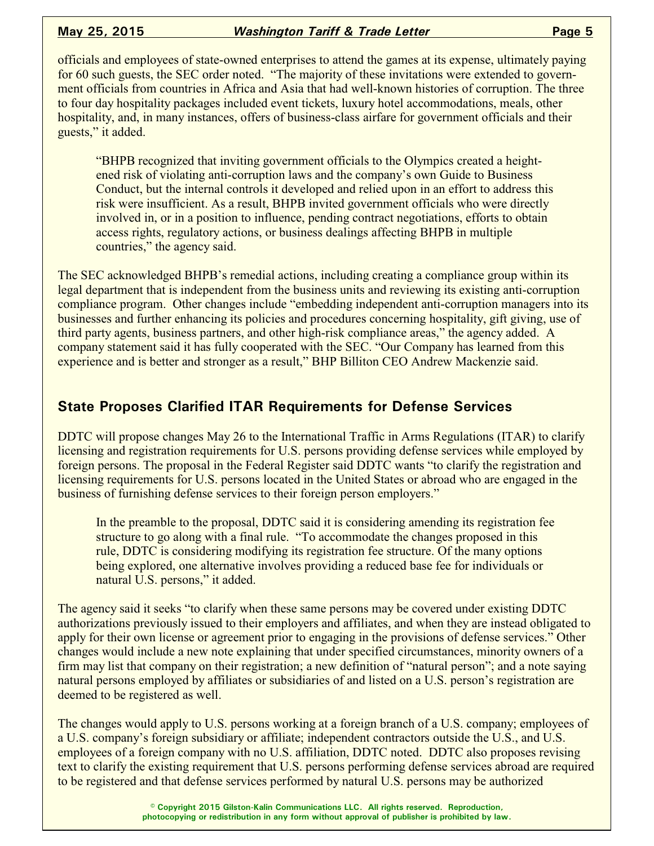officials and employees of state-owned enterprises to attend the games at its expense, ultimately paying for 60 such guests, the SEC order noted. "The majority of these invitations were extended to government officials from countries in Africa and Asia that had well-known histories of corruption. The three to four day hospitality packages included event tickets, luxury hotel accommodations, meals, other hospitality, and, in many instances, offers of business-class airfare for government officials and their guests," it added.

"BHPB recognized that inviting government officials to the Olympics created a heightened risk of violating anti-corruption laws and the company's own Guide to Business Conduct, but the internal controls it developed and relied upon in an effort to address this risk were insufficient. As a result, BHPB invited government officials who were directly involved in, or in a position to influence, pending contract negotiations, efforts to obtain access rights, regulatory actions, or business dealings affecting BHPB in multiple countries," the agency said.

The SEC acknowledged BHPB's remedial actions, including creating a compliance group within its legal department that is independent from the business units and reviewing its existing anti-corruption compliance program. Other changes include "embedding independent anti-corruption managers into its businesses and further enhancing its policies and procedures concerning hospitality, gift giving, use of third party agents, business partners, and other high-risk compliance areas," the agency added. A company statement said it has fully cooperated with the SEC. "Our Company has learned from this experience and is better and stronger as a result," BHP Billiton CEO Andrew Mackenzie said.

## **State Proposes Clarified ITAR Requirements for Defense Services**

DDTC will propose changes May 26 to the International Traffic in Arms Regulations (ITAR) to clarify licensing and registration requirements for U.S. persons providing defense services while employed by foreign persons. The proposal in the Federal Register said DDTC wants "to clarify the registration and licensing requirements for U.S. persons located in the United States or abroad who are engaged in the business of furnishing defense services to their foreign person employers."

In the preamble to the proposal, DDTC said it is considering amending its registration fee structure to go along with a final rule. "To accommodate the changes proposed in this rule, DDTC is considering modifying its registration fee structure. Of the many options being explored, one alternative involves providing a reduced base fee for individuals or natural U.S. persons," it added.

The agency said it seeks "to clarify when these same persons may be covered under existing DDTC authorizations previously issued to their employers and affiliates, and when they are instead obligated to apply for their own license or agreement prior to engaging in the provisions of defense services." Other changes would include a new note explaining that under specified circumstances, minority owners of a firm may list that company on their registration; a new definition of "natural person"; and a note saying natural persons employed by affiliates or subsidiaries of and listed on a U.S. person's registration are deemed to be registered as well.

The changes would apply to U.S. persons working at a foreign branch of a U.S. company; employees of a U.S. company's foreign subsidiary or affiliate; independent contractors outside the U.S., and U.S. employees of a foreign company with no U.S. affiliation, DDTC noted. DDTC also proposes revising text to clarify the existing requirement that U.S. persons performing defense services abroad are required to be registered and that defense services performed by natural U.S. persons may be authorized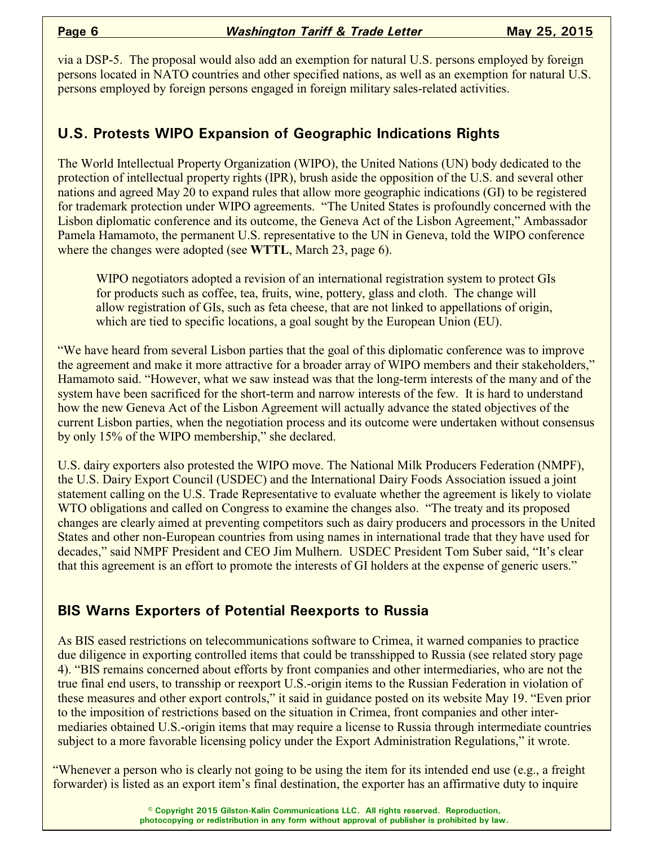via a DSP-5. The proposal would also add an exemption for natural U.S. persons employed by foreign persons located in NATO countries and other specified nations, as well as an exemption for natural U.S. persons employed by foreign persons engaged in foreign military sales-related activities.

## **U.S. Protests WIPO Expansion of Geographic Indications Rights**

The World Intellectual Property Organization (WIPO), the United Nations (UN) body dedicated to the protection of intellectual property rights (IPR), brush aside the opposition of the U.S. and several other nations and agreed May 20 to expand rules that allow more geographic indications (GI) to be registered for trademark protection under WIPO agreements. "The United States is profoundly concerned with the Lisbon diplomatic conference and its outcome, the Geneva Act of the Lisbon Agreement," Ambassador Pamela Hamamoto, the permanent U.S. representative to the UN in Geneva, told the WIPO conference where the changes were adopted (see **WTTL**, March 23, page 6).

WIPO negotiators adopted a revision of an international registration system to protect GIs for products such as coffee, tea, fruits, wine, pottery, glass and cloth. The change will allow registration of GIs, such as feta cheese, that are not linked to appellations of origin, which are tied to specific locations, a goal sought by the European Union (EU).

"We have heard from several Lisbon parties that the goal of this diplomatic conference was to improve the agreement and make it more attractive for a broader array of WIPO members and their stakeholders," Hamamoto said. "However, what we saw instead was that the long-term interests of the many and of the system have been sacrificed for the short-term and narrow interests of the few. It is hard to understand how the new Geneva Act of the Lisbon Agreement will actually advance the stated objectives of the current Lisbon parties, when the negotiation process and its outcome were undertaken without consensus by only 15% of the WIPO membership," she declared.

U.S. dairy exporters also protested the WIPO move. The National Milk Producers Federation (NMPF), the U.S. Dairy Export Council (USDEC) and the International Dairy Foods Association issued a joint statement calling on the U.S. Trade Representative to evaluate whether the agreement is likely to violate WTO obligations and called on Congress to examine the changes also. "The treaty and its proposed changes are clearly aimed at preventing competitors such as dairy producers and processors in the United States and other non-European countries from using names in international trade that they have used for decades," said NMPF President and CEO Jim Mulhern. USDEC President Tom Suber said, "It's clear that this agreement is an effort to promote the interests of GI holders at the expense of generic users."

## **BIS Warns Exporters of Potential Reexports to Russia**

As BIS eased restrictions on telecommunications software to Crimea, it warned companies to practice due diligence in exporting controlled items that could be transshipped to Russia (see related story page 4). "BIS remains concerned about efforts by front companies and other intermediaries, who are not the true final end users, to transship or reexport U.S.-origin items to the Russian Federation in violation of these measures and other export controls," it said in guidance posted on its website May 19. "Even prior to the imposition of restrictions based on the situation in Crimea, front companies and other intermediaries obtained U.S.-origin items that may require a license to Russia through intermediate countries subject to a more favorable licensing policy under the Export Administration Regulations," it wrote.

"Whenever a person who is clearly not going to be using the item for its intended end use (e.g., a freight forwarder) is listed as an export item's final destination, the exporter has an affirmative duty to inquire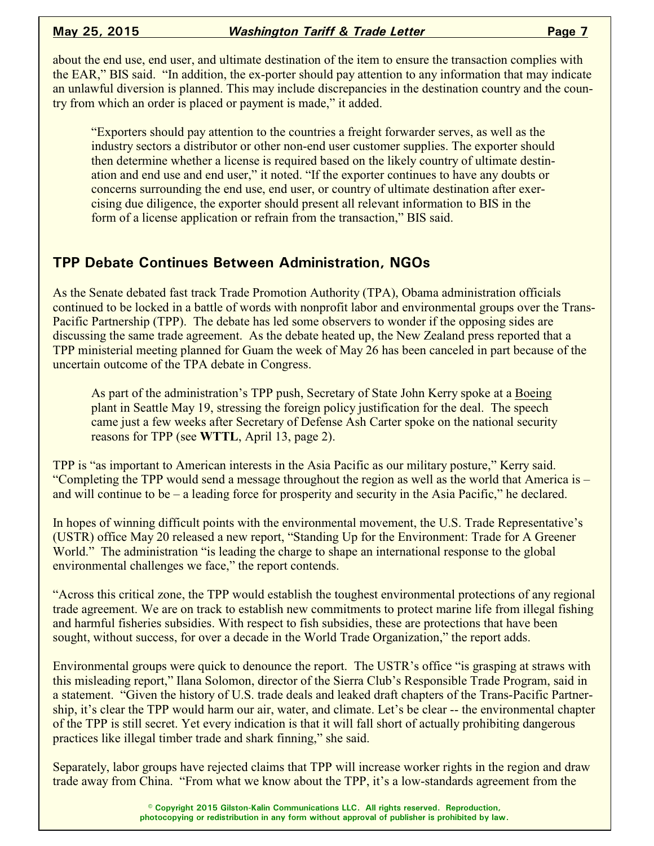about the end use, end user, and ultimate destination of the item to ensure the transaction complies with the EAR," BIS said. "In addition, the ex-porter should pay attention to any information that may indicate an unlawful diversion is planned. This may include discrepancies in the destination country and the country from which an order is placed or payment is made," it added.

"Exporters should pay attention to the countries a freight forwarder serves, as well as the industry sectors a distributor or other non-end user customer supplies. The exporter should then determine whether a license is required based on the likely country of ultimate destination and end use and end user," it noted. "If the exporter continues to have any doubts or concerns surrounding the end use, end user, or country of ultimate destination after exercising due diligence, the exporter should present all relevant information to BIS in the form of a license application or refrain from the transaction," BIS said.

## **TPP Debate Continues Between Administration, NGOs**

As the Senate debated fast track Trade Promotion Authority (TPA), Obama administration officials continued to be locked in a battle of words with nonprofit labor and environmental groups over the Trans-Pacific Partnership (TPP). The debate has led some observers to wonder if the opposing sides are discussing the same trade agreement. As the debate heated up, the New Zealand press reported that a TPP ministerial meeting planned for Guam the week of May 26 has been canceled in part because of the uncertain outcome of the TPA debate in Congress.

As part of the administration's TPP push, Secretary of State John Kerry spoke at a Boeing plant in Seattle May 19, stressing the foreign policy justification for the deal. The speech came just a few weeks after Secretary of Defense Ash Carter spoke on the national security reasons for TPP (see **WTTL**, April 13, page 2).

TPP is "as important to American interests in the Asia Pacific as our military posture," Kerry said. "Completing the TPP would send a message throughout the region as well as the world that America is – and will continue to be – a leading force for prosperity and security in the Asia Pacific," he declared.

In hopes of winning difficult points with the environmental movement, the U.S. Trade Representative's (USTR) office May 20 released a new report, "Standing Up for the Environment: Trade for A Greener World." The administration "is leading the charge to shape an international response to the global environmental challenges we face," the report contends.

"Across this critical zone, the TPP would establish the toughest environmental protections of any regional trade agreement. We are on track to establish new commitments to protect marine life from illegal fishing and harmful fisheries subsidies. With respect to fish subsidies, these are protections that have been sought, without success, for over a decade in the World Trade Organization," the report adds.

Environmental groups were quick to denounce the report. The USTR's office "is grasping at straws with this misleading report," Ilana Solomon, director of the Sierra Club's Responsible Trade Program, said in a statement. "Given the history of U.S. trade deals and leaked draft chapters of the Trans-Pacific Partnership, it's clear the TPP would harm our air, water, and climate. Let's be clear -- the environmental chapter of the TPP is still secret. Yet every indication is that it will fall short of actually prohibiting dangerous practices like illegal timber trade and shark finning," she said.

Separately, labor groups have rejected claims that TPP will increase worker rights in the region and draw trade away from China. "From what we know about the TPP, it's a low-standards agreement from the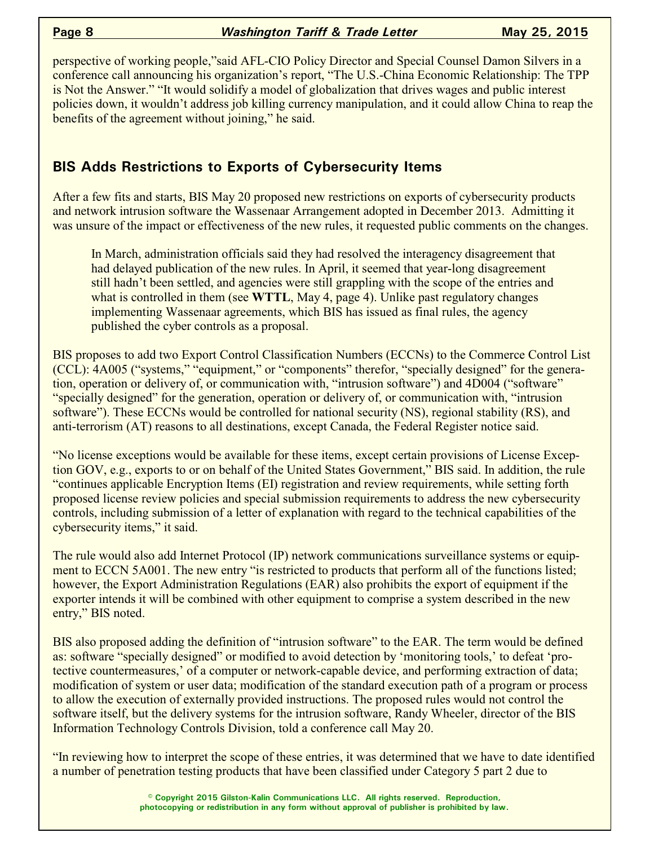perspective of working people,"said AFL-CIO Policy Director and Special Counsel Damon Silvers in a conference call announcing his organization's report, "The U.S.-China Economic Relationship: The TPP is Not the Answer." "It would solidify a model of globalization that drives wages and public interest policies down, it wouldn't address job killing currency manipulation, and it could allow China to reap the benefits of the agreement without joining," he said.

## **BIS Adds Restrictions to Exports of Cybersecurity Items**

After a few fits and starts, BIS May 20 proposed new restrictions on exports of cybersecurity products and network intrusion software the Wassenaar Arrangement adopted in December 2013. Admitting it was unsure of the impact or effectiveness of the new rules, it requested public comments on the changes.

In March, administration officials said they had resolved the interagency disagreement that had delayed publication of the new rules. In April, it seemed that year-long disagreement still hadn't been settled, and agencies were still grappling with the scope of the entries and what is controlled in them (see **WTTL**, May 4, page 4). Unlike past regulatory changes implementing Wassenaar agreements, which BIS has issued as final rules, the agency published the cyber controls as a proposal.

BIS proposes to add two Export Control Classification Numbers (ECCNs) to the Commerce Control List (CCL): 4A005 ("systems," "equipment," or "components" therefor, "specially designed" for the generation, operation or delivery of, or communication with, "intrusion software") and 4D004 ("software" "specially designed" for the generation, operation or delivery of, or communication with, "intrusion software"). These ECCNs would be controlled for national security (NS), regional stability (RS), and anti-terrorism (AT) reasons to all destinations, except Canada, the Federal Register notice said.

"No license exceptions would be available for these items, except certain provisions of License Exception GOV, e.g., exports to or on behalf of the United States Government," BIS said. In addition, the rule "continues applicable Encryption Items (EI) registration and review requirements, while setting forth proposed license review policies and special submission requirements to address the new cybersecurity controls, including submission of a letter of explanation with regard to the technical capabilities of the cybersecurity items," it said.

The rule would also add Internet Protocol (IP) network communications surveillance systems or equipment to ECCN 5A001. The new entry "is restricted to products that perform all of the functions listed; however, the Export Administration Regulations (EAR) also prohibits the export of equipment if the exporter intends it will be combined with other equipment to comprise a system described in the new entry," BIS noted.

BIS also proposed adding the definition of "intrusion software" to the EAR. The term would be defined as: software "specially designed" or modified to avoid detection by 'monitoring tools,' to defeat 'protective countermeasures,' of a computer or network-capable device, and performing extraction of data; modification of system or user data; modification of the standard execution path of a program or process to allow the execution of externally provided instructions. The proposed rules would not control the software itself, but the delivery systems for the intrusion software, Randy Wheeler, director of the BIS Information Technology Controls Division, told a conference call May 20.

"In reviewing how to interpret the scope of these entries, it was determined that we have to date identified a number of penetration testing products that have been classified under Category 5 part 2 due to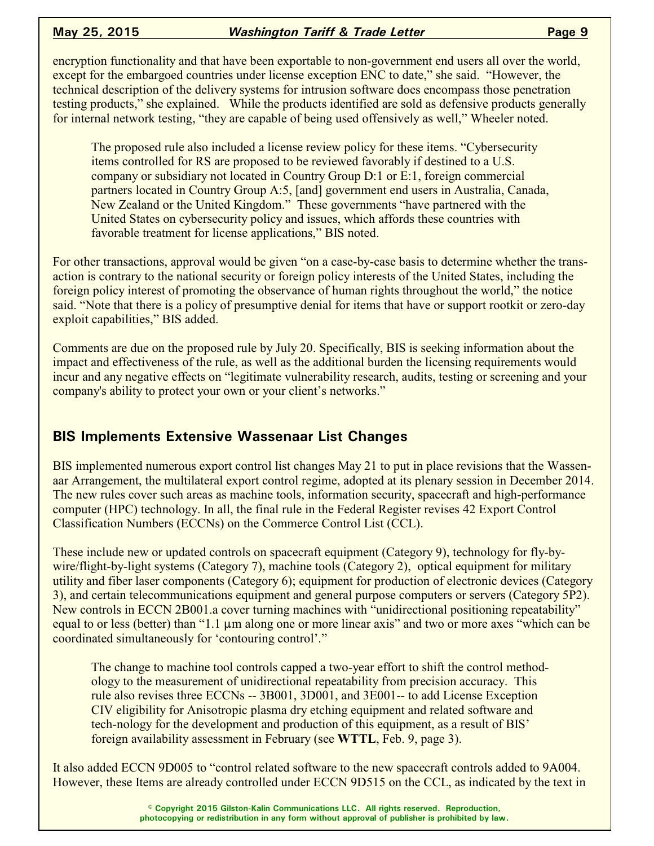### **May 25, 2015** *Washington Tariff & Trade Letter* **<b>Page 9**

encryption functionality and that have been exportable to non-government end users all over the world, except for the embargoed countries under license exception ENC to date," she said. "However, the technical description of the delivery systems for intrusion software does encompass those penetration testing products," she explained. While the products identified are sold as defensive products generally for internal network testing, "they are capable of being used offensively as well," Wheeler noted.

The proposed rule also included a license review policy for these items. "Cybersecurity items controlled for RS are proposed to be reviewed favorably if destined to a U.S. company or subsidiary not located in Country Group D:1 or E:1, foreign commercial partners located in Country Group A:5, [and] government end users in Australia, Canada, New Zealand or the United Kingdom." These governments "have partnered with the United States on cybersecurity policy and issues, which affords these countries with favorable treatment for license applications," BIS noted.

For other transactions, approval would be given "on a case-by-case basis to determine whether the transaction is contrary to the national security or foreign policy interests of the United States, including the foreign policy interest of promoting the observance of human rights throughout the world," the notice said. "Note that there is a policy of presumptive denial for items that have or support rootkit or zero-day exploit capabilities," BIS added.

Comments are due on the proposed rule by July 20. Specifically, BIS is seeking information about the impact and effectiveness of the rule, as well as the additional burden the licensing requirements would incur and any negative effects on "legitimate vulnerability research, audits, testing or screening and your company's ability to protect your own or your client's networks."

## **BIS Implements Extensive Wassenaar List Changes**

BIS implemented numerous export control list changes May 21 to put in place revisions that the Wassenaar Arrangement, the multilateral export control regime, adopted at its plenary session in December 2014. The new rules cover such areas as machine tools, information security, spacecraft and high-performance computer (HPC) technology. In all, the final rule in the Federal Register revises 42 Export Control Classification Numbers (ECCNs) on the Commerce Control List (CCL).

These include new or updated controls on spacecraft equipment (Category 9), technology for fly-bywire/flight-by-light systems (Category 7), machine tools (Category 2), optical equipment for military utility and fiber laser components (Category 6); equipment for production of electronic devices (Category 3), and certain telecommunications equipment and general purpose computers or servers (Category 5P2). New controls in ECCN 2B001.a cover turning machines with "unidirectional positioning repeatability" equal to or less (better) than "1.1  $\mu$ m along one or more linear axis" and two or more axes "which can be coordinated simultaneously for 'contouring control'."

The change to machine tool controls capped a two-year effort to shift the control methodology to the measurement of unidirectional repeatability from precision accuracy. This rule also revises three ECCNs -- 3B001, 3D001, and 3E001-- to add License Exception CIV eligibility for Anisotropic plasma dry etching equipment and related software and tech-nology for the development and production of this equipment, as a result of BIS' foreign availability assessment in February (see **WTTL**, Feb. 9, page 3).

It also added ECCN 9D005 to "control related software to the new spacecraft controls added to 9A004. However, these Items are already controlled under ECCN 9D515 on the CCL, as indicated by the text in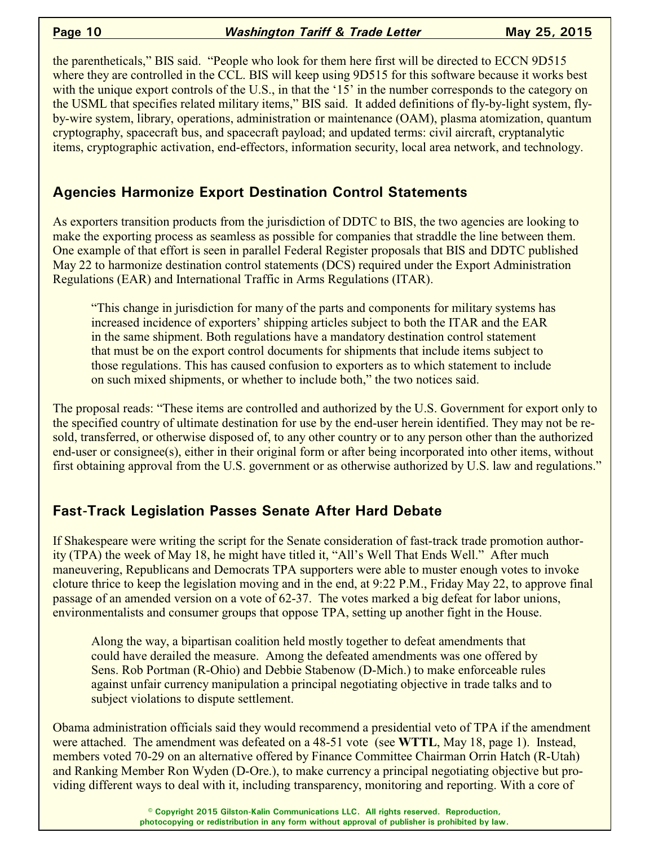the parentheticals," BIS said. "People who look for them here first will be directed to ECCN 9D515 where they are controlled in the CCL. BIS will keep using 9D515 for this software because it works best with the unique export controls of the U.S., in that the '15' in the number corresponds to the category on the USML that specifies related military items," BIS said. It added definitions of fly-by-light system, flyby-wire system, library, operations, administration or maintenance (OAM), plasma atomization, quantum cryptography, spacecraft bus, and spacecraft payload; and updated terms: civil aircraft, cryptanalytic items, cryptographic activation, end-effectors, information security, local area network, and technology.

## **Agencies Harmonize Export Destination Control Statements**

As exporters transition products from the jurisdiction of DDTC to BIS, the two agencies are looking to make the exporting process as seamless as possible for companies that straddle the line between them. One example of that effort is seen in parallel Federal Register proposals that BIS and DDTC published May 22 to harmonize destination control statements (DCS) required under the Export Administration Regulations (EAR) and International Traffic in Arms Regulations (ITAR).

"This change in jurisdiction for many of the parts and components for military systems has increased incidence of exporters' shipping articles subject to both the ITAR and the EAR in the same shipment. Both regulations have a mandatory destination control statement that must be on the export control documents for shipments that include items subject to those regulations. This has caused confusion to exporters as to which statement to include on such mixed shipments, or whether to include both," the two notices said.

The proposal reads: "These items are controlled and authorized by the U.S. Government for export only to the specified country of ultimate destination for use by the end-user herein identified. They may not be resold, transferred, or otherwise disposed of, to any other country or to any person other than the authorized end-user or consignee(s), either in their original form or after being incorporated into other items, without first obtaining approval from the U.S. government or as otherwise authorized by U.S. law and regulations."

## **Fast-Track Legislation Passes Senate After Hard Debate**

If Shakespeare were writing the script for the Senate consideration of fast-track trade promotion authority (TPA) the week of May 18, he might have titled it, "All's Well That Ends Well." After much maneuvering, Republicans and Democrats TPA supporters were able to muster enough votes to invoke cloture thrice to keep the legislation moving and in the end, at 9:22 P.M., Friday May 22, to approve final passage of an amended version on a vote of 62-37. The votes marked a big defeat for labor unions, environmentalists and consumer groups that oppose TPA, setting up another fight in the House.

Along the way, a bipartisan coalition held mostly together to defeat amendments that could have derailed the measure. Among the defeated amendments was one offered by Sens. Rob Portman (R-Ohio) and Debbie Stabenow (D-Mich.) to make enforceable rules against unfair currency manipulation a principal negotiating objective in trade talks and to subject violations to dispute settlement.

Obama administration officials said they would recommend a presidential veto of TPA if the amendment were attached. The amendment was defeated on a 48-51 vote (see **WTTL**, May 18, page 1). Instead, members voted 70-29 on an alternative offered by Finance Committee Chairman Orrin Hatch (R-Utah) and Ranking Member Ron Wyden (D-Ore.), to make currency a principal negotiating objective but providing different ways to deal with it, including transparency, monitoring and reporting. With a core of